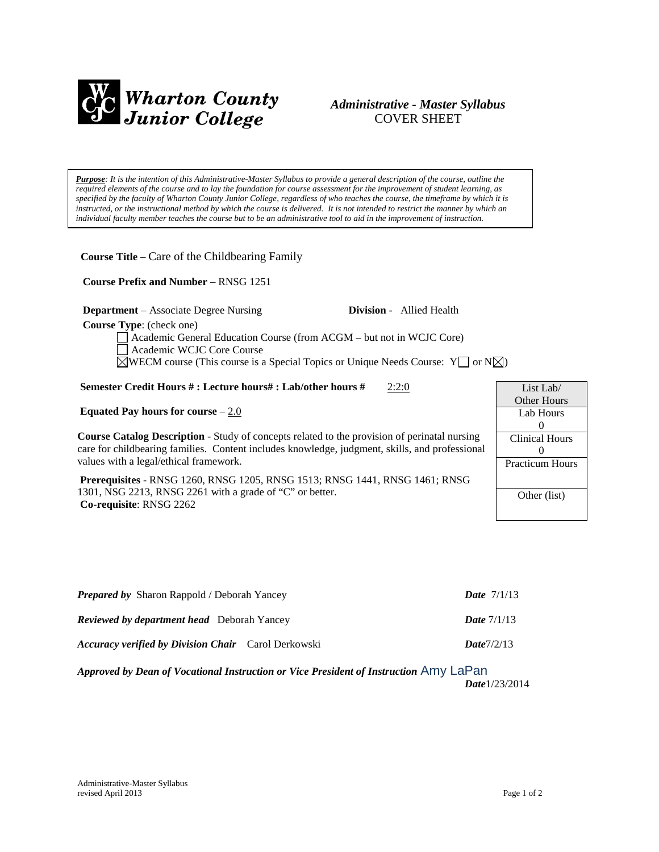

# *Administrative - Master Syllabus*  COVER SHEET

*Purpose: It is the intention of this Administrative-Master Syllabus to provide a general description of the course, outline the required elements of the course and to lay the foundation for course assessment for the improvement of student learning, as specified by the faculty of Wharton County Junior College, regardless of who teaches the course, the timeframe by which it is instructed, or the instructional method by which the course is delivered. It is not intended to restrict the manner by which an individual faculty member teaches the course but to be an administrative tool to aid in the improvement of instruction.*

**Course Title** – Care of the Childbearing Family

 **Course Prefix and Number** – RNSG 1251

**Department** – Associate Degree Nursing **Division** - Allied Health

 **Course Type**: (check one)

Academic General Education Course (from ACGM – but not in WCJC Core)

Academic WCJC Core Course

 $\boxtimes$ WECM course (This course is a Special Topics or Unique Needs Course: Y  $\Box$  or N $\boxtimes$ )

**Semester Credit Hours #: Lecture hours#: Lab/other hours #** 2:2:0

**Equated Pay hours for course** – 2.0

**Course Catalog Description** - Study of concepts related to the provision of perinatal nursing care for childbearing families. Content includes knowledge, judgment, skills, and professional values with a legal/ethical framework.

**Prerequisites** - RNSG 1260, RNSG 1205, RNSG 1513; RNSG 1441, RNSG 1461; RNSG 1301, NSG 2213, RNSG 2261 with a grade of "C" or better. **Co-requisite**: RNSG 2262

| List Lab/              |
|------------------------|
| Other Hours            |
| Lab Hours              |
| $\mathbf{0}$           |
| <b>Clinical Hours</b>  |
| $\mathbf{0}$           |
| <b>Practicum Hours</b> |
|                        |
|                        |
| Other (list)           |
|                        |

| <b>Prepared by</b> Sharon Rappold / Deborah Yancey         |            |  |
|------------------------------------------------------------|------------|--|
| <b>Reviewed by department head</b> Deborah Yancey          |            |  |
| <b>Accuracy verified by Division Chair</b> Carol Derkowski | Date7/2/13 |  |

*Approved by Dean of Vocational Instruction or Vice President of Instruction* Amy LaPan *Date*1/23/2014